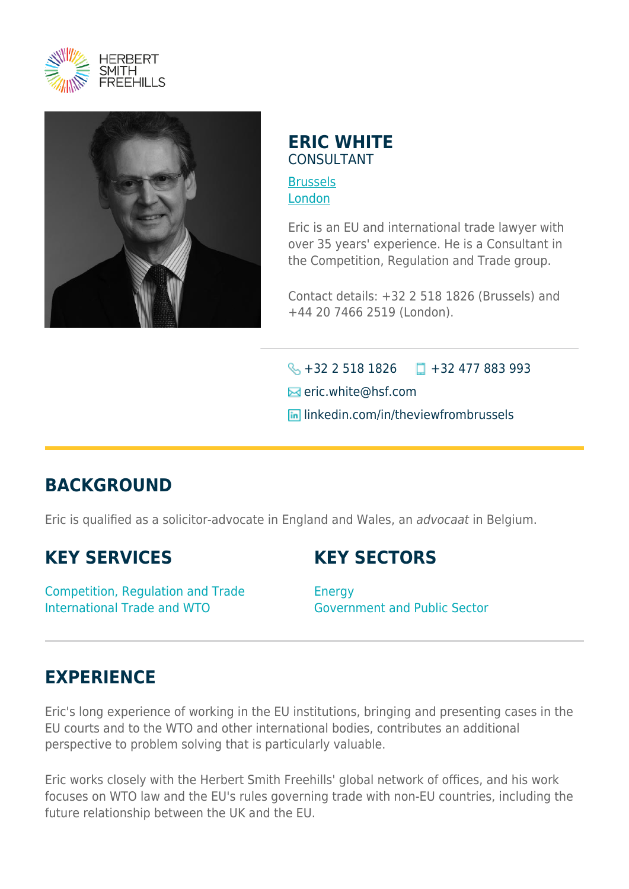



## **ERIC WHITE** CONSULTANT

**[Brussels](https://www.herbertsmithfreehills.com/lang-fr/where-we-work/brussels)** [London](https://www.herbertsmithfreehills.com/lang-fr/where-we-work/london)

Eric is an EU and international trade lawyer with over 35 years' experience. He is a Consultant in the Competition, Regulation and Trade group.

Contact details: +32 2 518 1826 (Brussels) and +44 20 7466 2519 (London).

 $\bigotimes$  +32 2 518 1826  $\Box$  +32 477 883 993 **Ex** eric.white@hsf.com **In linkedin.com/in/theviewfrombrussels** 

## **BACKGROUND**

Eric is qualified as a solicitor-advocate in England and Wales, an advocaat in Belgium.

## **KEY SERVICES**

**KEY SECTORS**

Competition, Regulation and Trade International Trade and WTO

**Energy** Government and Public Sector

## **EXPERIENCE**

Eric's long experience of working in the EU institutions, bringing and presenting cases in the EU courts and to the WTO and other international bodies, contributes an additional perspective to problem solving that is particularly valuable.

Eric works closely with the Herbert Smith Freehills' global network of offices, and his work focuses on WTO law and the EU's rules governing trade with non-EU countries, including the future relationship between the UK and the EU.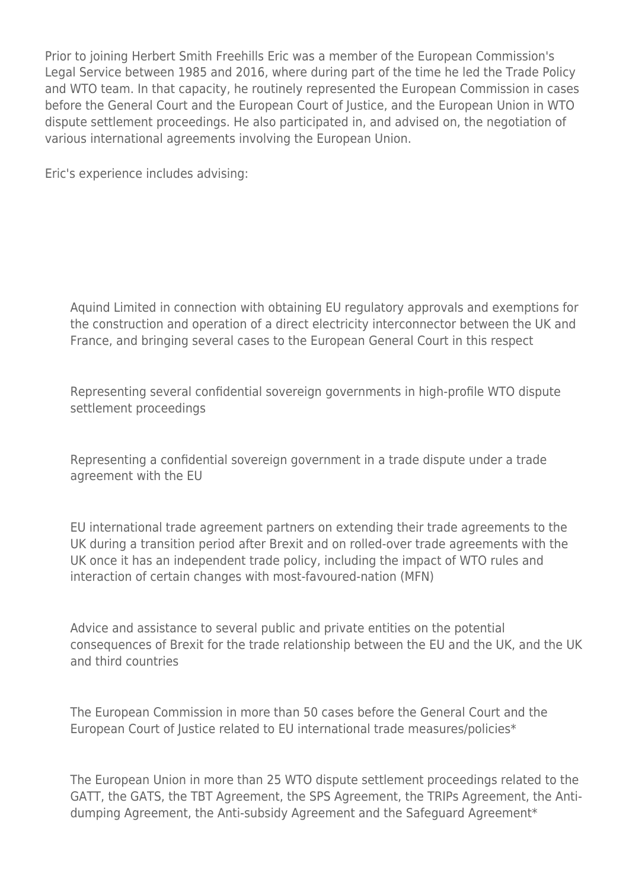Prior to joining Herbert Smith Freehills Eric was a member of the European Commission's Legal Service between 1985 and 2016, where during part of the time he led the Trade Policy and WTO team. In that capacity, he routinely represented the European Commission in cases before the General Court and the European Court of Justice, and the European Union in WTO dispute settlement proceedings. He also participated in, and advised on, the negotiation of various international agreements involving the European Union.

Eric's experience includes advising:

Aquind Limited in connection with obtaining EU regulatory approvals and exemptions for the construction and operation of a direct electricity interconnector between the UK and France, and bringing several cases to the European General Court in this respect

Representing several confidential sovereign governments in high-profile WTO dispute settlement proceedings

Representing a confidential sovereign government in a trade dispute under a trade agreement with the EU

EU international trade agreement partners on extending their trade agreements to the UK during a transition period after Brexit and on rolled-over trade agreements with the UK once it has an independent trade policy, including the impact of WTO rules and interaction of certain changes with most-favoured-nation (MFN)

Advice and assistance to several public and private entities on the potential consequences of Brexit for the trade relationship between the EU and the UK, and the UK and third countries

The European Commission in more than 50 cases before the General Court and the European Court of Justice related to EU international trade measures/policies\*

The European Union in more than 25 WTO dispute settlement proceedings related to the GATT, the GATS, the TBT Agreement, the SPS Agreement, the TRIPs Agreement, the Antidumping Agreement, the Anti-subsidy Agreement and the Safeguard Agreement\*